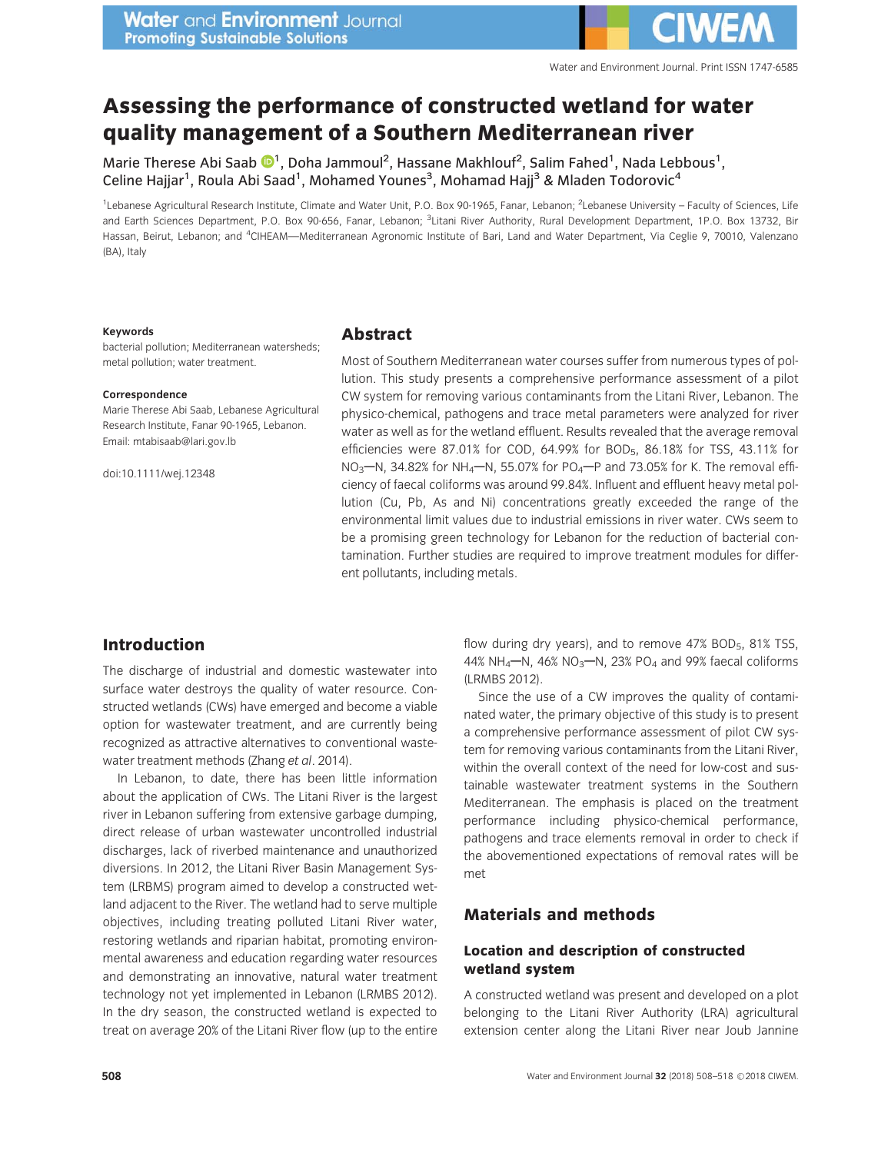# Assessing the performance of constructed wetland for water quality management of a Southern Mediterranean river

Marie Therese Abi S[aab](http://orcid.org/0000-0001-9189-6954)  $\mathbf{O}^1$ , Doha Jammoul<sup>2</sup>, Hassane Makhlouf<sup>2</sup>, Salim Fahed<sup>1</sup>, Nada Lebbous<sup>1</sup>, Celine Hajjar<sup>1</sup>, Roula Abi Saad<sup>1</sup>, Mohamed Younes<sup>3</sup>, Mohamad Hajj<sup>3</sup> & Mladen Todorovic<sup>4</sup>

<sup>1</sup>Lebanese Agricultural Research Institute, Climate and Water Unit, P.O. Box 90-1965, Fanar, Lebanon; <sup>2</sup>Lebanese University - Faculty of Sciences, Life and Earth Sciences Department, P.O. Box 90-656, Fanar, Lebanon; <sup>3</sup>Litani River Authority, Rural Development Department, 1P.O. Box 13732, Bir Hassan, Beirut, Lebanon; and <sup>4</sup>CIHEAM—Mediterranean Agronomic Institute of Bari, Land and Water Department, Via Ceglie 9, 70010, Valenzano (BA), Italy

#### Keywords

bacterial pollution; Mediterranean watersheds; metal pollution; water treatment.

#### Correspondence

Marie Therese Abi Saab, Lebanese Agricultural Research Institute, Fanar 90-1965, Lebanon. Email: mtabisaab@lari.gov.lb

doi:10.1111/wej.12348

## Abstract

Most of Southern Mediterranean water courses suffer from numerous types of pollution. This study presents a comprehensive performance assessment of a pilot CW system for removing various contaminants from the Litani River, Lebanon. The physico-chemical, pathogens and trace metal parameters were analyzed for river water as well as for the wetland effluent. Results revealed that the average removal efficiencies were 87.01% for COD, 64.99% for BOD5, 86.18% for TSS, 43.11% for  $NO_3$ –N, 34.82% for NH<sub>4</sub>–N, 55.07% for PO<sub>4</sub>–P and 73.05% for K. The removal efficiency of faecal coliforms was around 99.84%. Influent and effluent heavy metal pollution (Cu, Pb, As and Ni) concentrations greatly exceeded the range of the environmental limit values due to industrial emissions in river water. CWs seem to be a promising green technology for Lebanon for the reduction of bacterial contamination. Further studies are required to improve treatment modules for different pollutants, including metals.

## Introduction

The discharge of industrial and domestic wastewater into surface water destroys the quality of water resource. Constructed wetlands (CWs) have emerged and become a viable option for wastewater treatment, and are currently being recognized as attractive alternatives to conventional wastewater treatment methods (Zhang et al. 2014).

In Lebanon, to date, there has been little information about the application of CWs. The Litani River is the largest river in Lebanon suffering from extensive garbage dumping, direct release of urban wastewater uncontrolled industrial discharges, lack of riverbed maintenance and unauthorized diversions. In 2012, the Litani River Basin Management System (LRBMS) program aimed to develop a constructed wetland adjacent to the River. The wetland had to serve multiple objectives, including treating polluted Litani River water, restoring wetlands and riparian habitat, promoting environmental awareness and education regarding water resources and demonstrating an innovative, natural water treatment technology not yet implemented in Lebanon (LRMBS 2012). In the dry season, the constructed wetland is expected to treat on average 20% of the Litani River flow (up to the entire flow during dry years), and to remove 47% BOD<sub>5</sub>, 81% TSS, 44% NH<sub>4</sub> $-M$ , 46% NO<sub>3</sub> $-M$ , 23% PO<sub>4</sub> and 99% faecal coliforms (LRMBS 2012).

Since the use of a CW improves the quality of contaminated water, the primary objective of this study is to present a comprehensive performance assessment of pilot CW system for removing various contaminants from the Litani River, within the overall context of the need for low-cost and sustainable wastewater treatment systems in the Southern Mediterranean. The emphasis is placed on the treatment performance including physico-chemical performance, pathogens and trace elements removal in order to check if the abovementioned expectations of removal rates will be met

# Materials and methods

#### Location and description of constructed wetland system

A constructed wetland was present and developed on a plot belonging to the Litani River Authority (LRA) agricultural extension center along the Litani River near Joub Jannine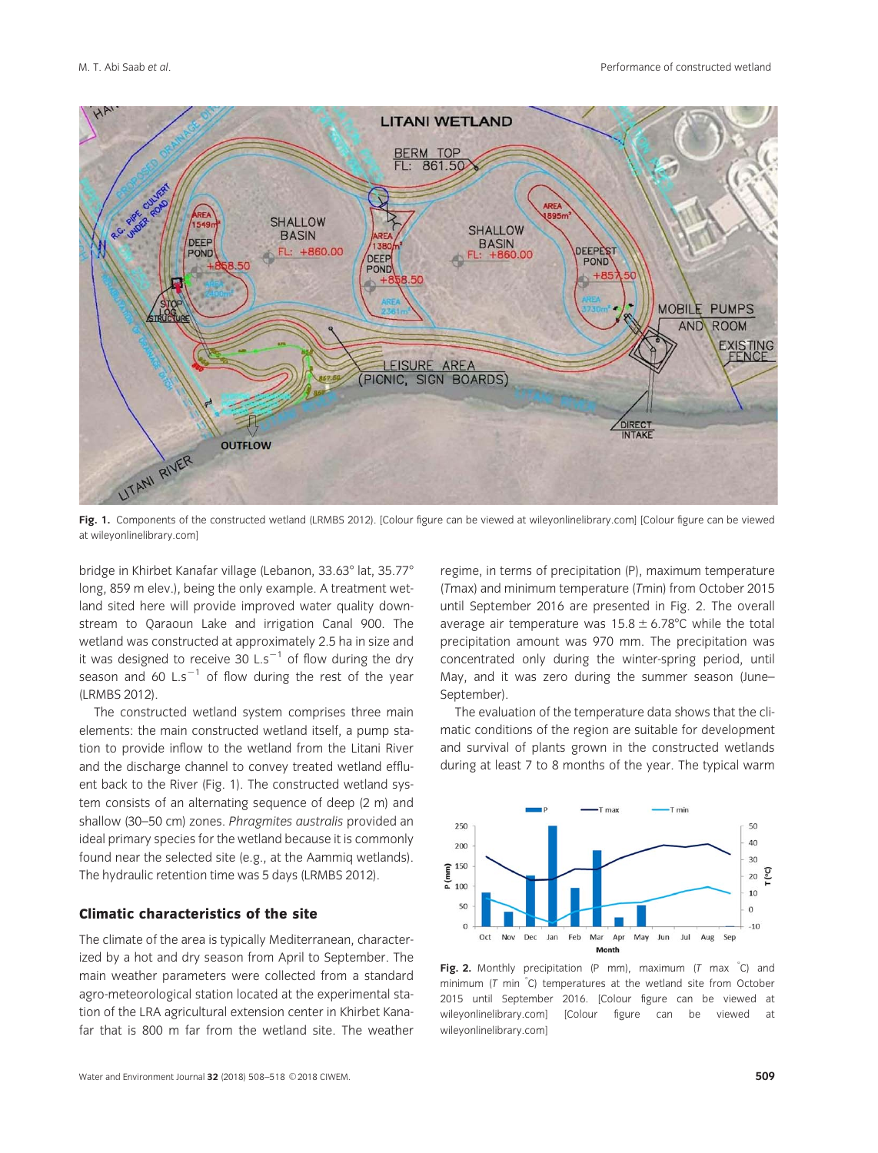

Fig. 1. Components of the constructed wetland (LRMBS 2012). [Colour figure can be viewed at wile[yonlinelibrary.com\] \[Col](http://wileyonlinelibrary.com)our figure can be viewed at wile[yonlinelibrary.com\]](http://wileyonlinelibrary.com)

bridge in Khirbet Kanafar village (Lebanon, 33.63° lat, 35.77° long, 859 m elev.), being the only example. A treatment wetland sited here will provide improved water quality downstream to Qaraoun Lake and irrigation Canal 900. The wetland was constructed at approximately 2.5 ha in size and it was designed to receive 30 L.s<sup>-1</sup> of flow during the dry season and 60 L.s<sup>-1</sup> of flow during the rest of the year (LRMBS 2012).

The constructed wetland system comprises three main elements: the main constructed wetland itself, a pump station to provide inflow to the wetland from the Litani River and the discharge channel to convey treated wetland effluent back to the River (Fig. 1). The constructed wetland system consists of an alternating sequence of deep (2 m) and shallow (30–50 cm) zones. Phragmites australis provided an ideal primary species for the wetland because it is commonly found near the selected site (e.g., at the Aammiq wetlands). The hydraulic retention time was 5 days (LRMBS 2012).

#### Climatic characteristics of the site

The climate of the area is typically Mediterranean, characterized by a hot and dry season from April to September. The main weather parameters were collected from a standard agro-meteorological station located at the experimental station of the LRA agricultural extension center in Khirbet Kanafar that is 800 m far from the wetland site. The weather regime, in terms of precipitation (P), maximum temperature (Tmax) and minimum temperature (Tmin) from October 2015 until September 2016 are presented in Fig. 2. The overall average air temperature was  $15.8 \pm 6.78^{\circ}$ C while the total precipitation amount was 970 mm. The precipitation was concentrated only during the winter-spring period, until May, and it was zero during the summer season (June– September).

The evaluation of the temperature data shows that the climatic conditions of the region are suitable for development and survival of plants grown in the constructed wetlands during at least 7 to 8 months of the year. The typical warm



Fig. 2. Monthly precipitation (P mm), maximum (T max  $^{\circ}$ C) and minimum ( $T$  min  $°C$ ) temperatures at the wetland site from October 2015 until September 2016. [Colour figure can be viewed at wile[yonlinelibrary.com\] \[C](http://wileyonlinelibrary.com)olour figure can be viewed wile[yonlinelibrary.com\]](http://wileyonlinelibrary.com)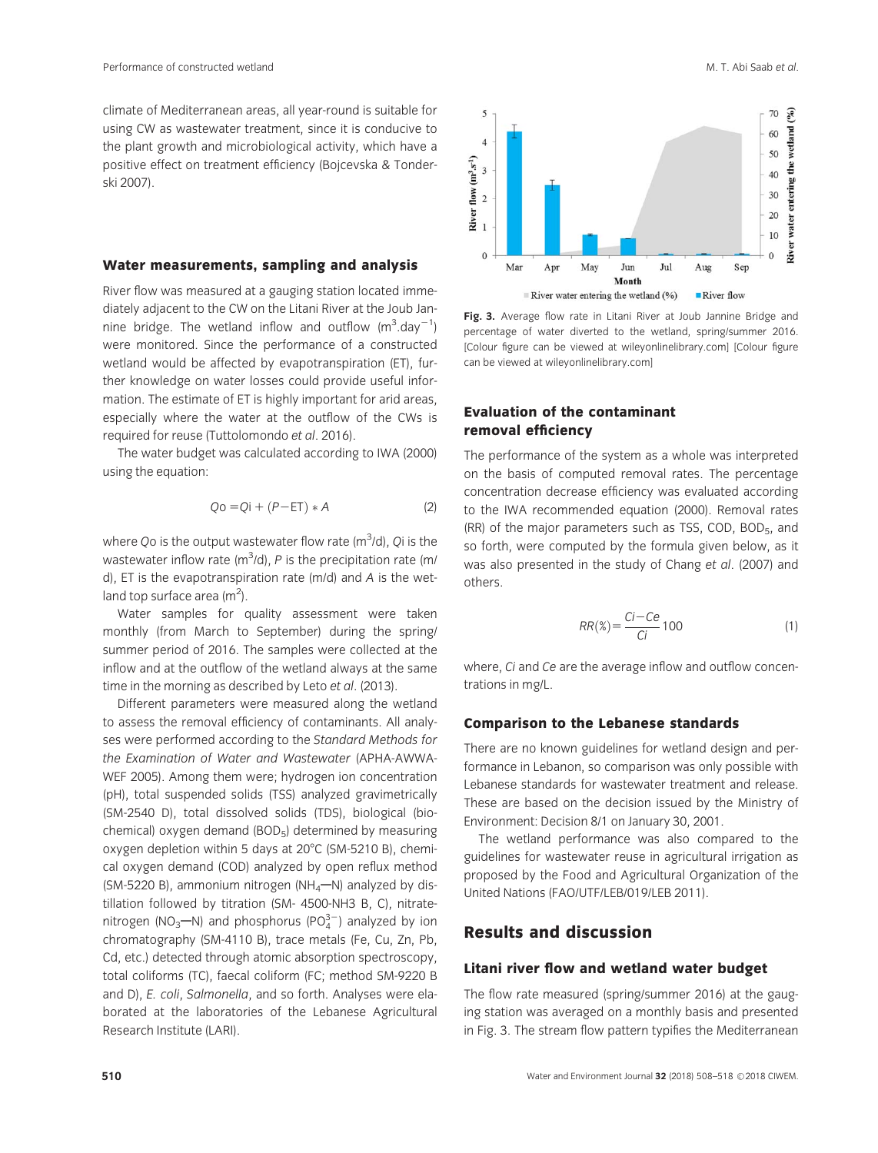climate of Mediterranean areas, all year-round is suitable for using CW as wastewater treatment, since it is conducive to the plant growth and microbiological activity, which have a positive effect on treatment efficiency (Bojcevska & Tonderski 2007).

#### Water measurements, sampling and analysis

River flow was measured at a gauging station located immediately adjacent to the CW on the Litani River at the Joub Jannine bridge. The wetland inflow and outflow  $(m^3.day^{-1})$ were monitored. Since the performance of a constructed wetland would be affected by evapotranspiration (ET), further knowledge on water losses could provide useful information. The estimate of ET is highly important for arid areas, especially where the water at the outflow of the CWs is required for reuse (Tuttolomondo et al. 2016).

The water budget was calculated according to IWA (2000) using the equation:

$$
Qo = Qi + (P - ET) * A \tag{2}
$$

where Qo is the output wastewater flow rate (m $3$ /d), Qi is the wastewater inflow rate (m<sup>3</sup>/d), P is the precipitation rate (m/ d), ET is the evapotranspiration rate (m/d) and A is the wetland top surface area (m<sup>2</sup>).

Water samples for quality assessment were taken monthly (from March to September) during the spring/ summer period of 2016. The samples were collected at the inflow and at the outflow of the wetland always at the same time in the morning as described by Leto et al. (2013).

Different parameters were measured along the wetland to assess the removal efficiency of contaminants. All analyses were performed according to the Standard Methods for the Examination of Water and Wastewater (APHA-AWWA-WEF 2005). Among them were; hydrogen ion concentration (pH), total suspended solids (TSS) analyzed gravimetrically (SM-2540 D), total dissolved solids (TDS), biological (biochemical) oxygen demand (BOD5) determined by measuring oxygen depletion within 5 days at  $20^{\circ}$ C (SM-5210 B), chemical oxygen demand (COD) analyzed by open reflux method (SM-5220 B), ammonium nitrogen (NH<sub>4</sub> $-M$ ) analyzed by distillation followed by titration (SM- 4500-NH3 B, C), nitratenitrogen (NO<sub>3</sub>—N) and phosphorus (PO $_4^{3-}$ ) analyzed by ion chromatography (SM-4110 B), trace metals (Fe, Cu, Zn, Pb, Cd, etc.) detected through atomic absorption spectroscopy, total coliforms (TC), faecal coliform (FC; method SM-9220 B and D), E. coli, Salmonella, and so forth. Analyses were elaborated at the laboratories of the Lebanese Agricultural Research Institute (LARI).



Fig. 3. Average flow rate in Litani River at Joub Jannine Bridge and percentage of water diverted to the wetland, spring/summer 2016. [Colour figure can be viewe[d at wileyonlinelibrary](http://wileyonlinelibrary.com).com] [Colour figure can be view[ed at wileyonlinelibrary](http://wileyonlinelibrary.com).com]

#### Evaluation of the contaminant removal efficiency

The performance of the system as a whole was interpreted on the basis of computed removal rates. The percentage concentration decrease efficiency was evaluated according to the IWA recommended equation (2000). Removal rates (RR) of the major parameters such as TSS, COD, BOD5, and so forth, were computed by the formula given below, as it was also presented in the study of Chang et al. (2007) and others.

$$
RR(\%) = \frac{Ci - Ce}{Ci} \cdot 100 \tag{1}
$$

where, Ci and Ce are the average inflow and outflow concentrations in mg/L.

#### Comparison to the Lebanese standards

There are no known guidelines for wetland design and performance in Lebanon, so comparison was only possible with Lebanese standards for wastewater treatment and release. These are based on the decision issued by the Ministry of Environment: Decision 8/1 on January 30, 2001.

The wetland performance was also compared to the guidelines for wastewater reuse in agricultural irrigation as proposed by the Food and Agricultural Organization of the United Nations (FAO/UTF/LEB/019/LEB 2011).

# Results and discussion

#### Litani river flow and wetland water budget

The flow rate measured (spring/summer 2016) at the gauging station was averaged on a monthly basis and presented in Fig. 3. The stream flow pattern typifies the Mediterranean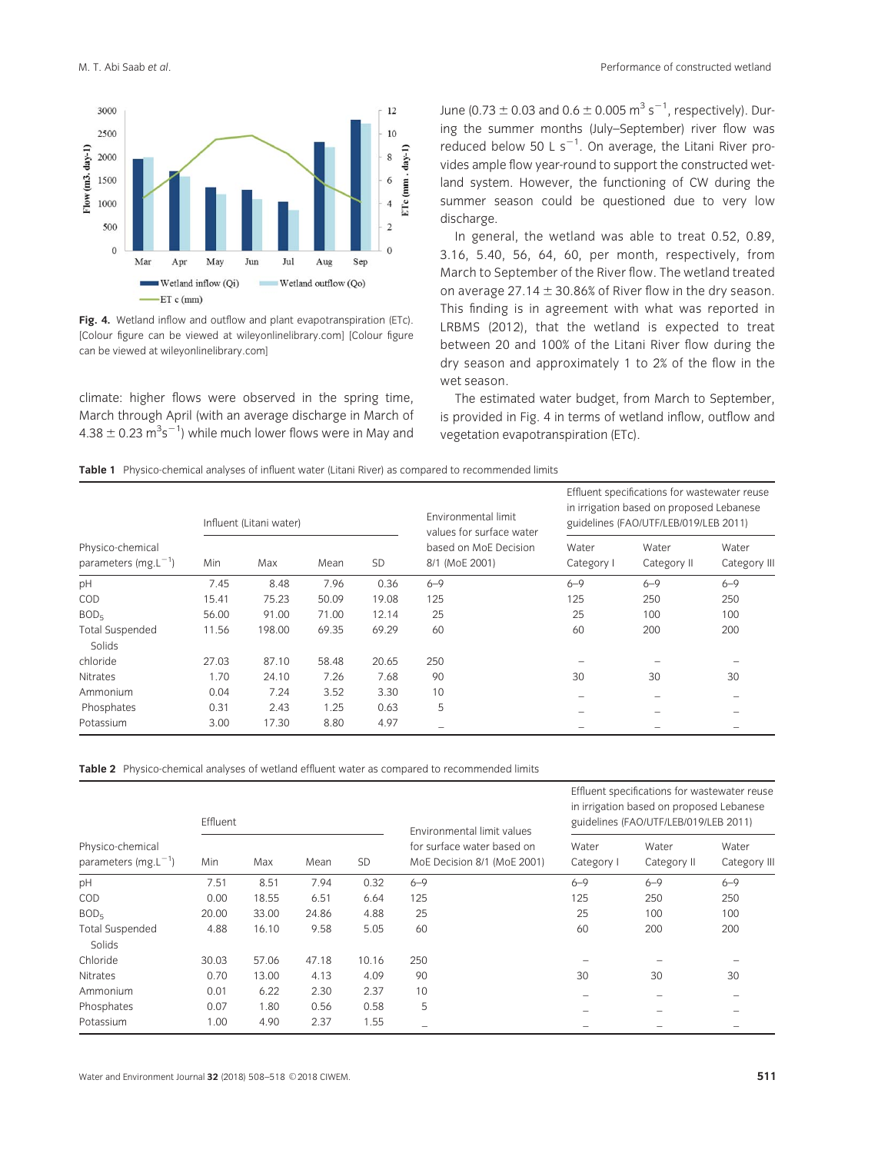

Fig. 4. Wetland inflow and outflow and plant evapotranspiration (ETc). [Colour figure can be viewed at wile[yonlinelibrary.com\] \[Co](http://wileyonlinelibrary.com)lour figure can be viewed at wile[yonlinelibrary.com\]](http://wileyonlinelibrary.com)

climate: higher flows were observed in the spring time, March through April (with an average discharge in March of  $4.38 \pm 0.23$   $\text{m}^3 \text{s}^{-1}$ ) while much lower flows were in May and

June (0.73  $\pm$  0.03 and 0.6  $\pm$  0.005 m<sup>3</sup> s<sup>-1</sup>, respectively). During the summer months (July–September) river flow was reduced below 50 L  $s^{-1}$ . On average, the Litani River provides ample flow year-round to support the constructed wetland system. However, the functioning of CW during the summer season could be questioned due to very low discharge.

In general, the wetland was able to treat 0.52, 0.89, 3.16, 5.40, 56, 64, 60, per month, respectively, from March to September of the River flow. The wetland treated on average 27.14  $\pm$  30.86% of River flow in the dry season. This finding is in agreement with what was reported in LRBMS (2012), that the wetland is expected to treat between 20 and 100% of the Litani River flow during the dry season and approximately 1 to 2% of the flow in the wet season.

The estimated water budget, from March to September, is provided in Fig. 4 in terms of wetland inflow, outflow and vegetation evapotranspiration (ETc).

|                                              |       | Influent (Litani water) |       |           | Environmental limit<br>values for surface water<br>based on MoE Decision<br>8/1 (MoE 2001) | Effluent specifications for wastewater reuse<br>in irrigation based on proposed Lebanese<br>guidelines (FAO/UTF/LEB/019/LEB 2011) |                      |                       |
|----------------------------------------------|-------|-------------------------|-------|-----------|--------------------------------------------------------------------------------------------|-----------------------------------------------------------------------------------------------------------------------------------|----------------------|-----------------------|
| Physico-chemical<br>parameters $(mg.L^{-1})$ | Min   | Max                     | Mean  | <b>SD</b> |                                                                                            | Water<br>Category I                                                                                                               | Water<br>Category II | Water<br>Category III |
| pH                                           | 7.45  | 8.48                    | 7.96  | 0.36      | $6 - 9$                                                                                    | $6 - 9$                                                                                                                           | $6 - 9$              | $6 - 9$               |
| COD                                          | 15.41 | 75.23                   | 50.09 | 19.08     | 125                                                                                        | 125                                                                                                                               | 250                  | 250                   |
| BOD <sub>5</sub>                             | 56.00 | 91.00                   | 71.00 | 12.14     | 25                                                                                         | 25                                                                                                                                | 100                  | 100                   |
| <b>Total Suspended</b><br>Solids             | 11.56 | 198.00                  | 69.35 | 69.29     | 60                                                                                         | 60                                                                                                                                | 200                  | 200                   |
| chloride                                     | 27.03 | 87.10                   | 58.48 | 20.65     | 250                                                                                        |                                                                                                                                   |                      |                       |
| <b>Nitrates</b>                              | 1.70  | 24.10                   | 7.26  | 7.68      | 90                                                                                         | 30                                                                                                                                | 30                   | 30                    |
| Ammonium                                     | 0.04  | 7.24                    | 3.52  | 3.30      | 10                                                                                         |                                                                                                                                   |                      |                       |
| Phosphates                                   | 0.31  | 2.43                    | 1.25  | 0.63      | 5                                                                                          |                                                                                                                                   |                      |                       |
| Potassium                                    | 3.00  | 17.30                   | 8.80  | 4.97      |                                                                                            |                                                                                                                                   |                      |                       |

Table 2 Physico-chemical analyses of wetland effluent water as compared to recommended limits

|                                              | Effluent |       |       |           | Environmental limit values<br>for surface water based on<br>MoE Decision 8/1 (MoE 2001) | Effluent specifications for wastewater reuse<br>in irrigation based on proposed Lebanese<br>guidelines (FAO/UTF/LEB/019/LEB 2011) |                      |                      |
|----------------------------------------------|----------|-------|-------|-----------|-----------------------------------------------------------------------------------------|-----------------------------------------------------------------------------------------------------------------------------------|----------------------|----------------------|
| Physico-chemical<br>parameters $(mg.L^{-1})$ | Min      | Max   | Mean  | <b>SD</b> |                                                                                         | Water<br>Category I                                                                                                               | Water<br>Category II | Water<br>Category II |
| pH                                           | 7.51     | 8.51  | 7.94  | 0.32      | $6 - 9$                                                                                 | $6 - 9$                                                                                                                           | $6 - 9$              | $6 - 9$              |
| COD                                          | 0.00     | 18.55 | 6.51  | 6.64      | 125                                                                                     | 125                                                                                                                               | 250                  | 250                  |
| BOD <sub>5</sub>                             | 20.00    | 33.00 | 24.86 | 4.88      | 25                                                                                      | 25                                                                                                                                | 100                  | 100                  |
| <b>Total Suspended</b><br>Solids             | 4.88     | 16.10 | 9.58  | 5.05      | 60                                                                                      | 60                                                                                                                                | 200                  | 200                  |
| Chloride                                     | 30.03    | 57.06 | 47.18 | 10.16     | 250                                                                                     |                                                                                                                                   |                      |                      |
| <b>Nitrates</b>                              | 0.70     | 13.00 | 4.13  | 4.09      | 90                                                                                      | 30                                                                                                                                | 30                   | 30                   |
| Ammonium                                     | 0.01     | 6.22  | 2.30  | 2.37      | 10                                                                                      |                                                                                                                                   |                      |                      |
| Phosphates                                   | 0.07     | 1.80  | 0.56  | 0.58      | 5                                                                                       |                                                                                                                                   |                      |                      |
| Potassium                                    | 1.00     | 4.90  | 2.37  | 1.55      |                                                                                         |                                                                                                                                   |                      |                      |
|                                              |          |       |       |           |                                                                                         |                                                                                                                                   |                      |                      |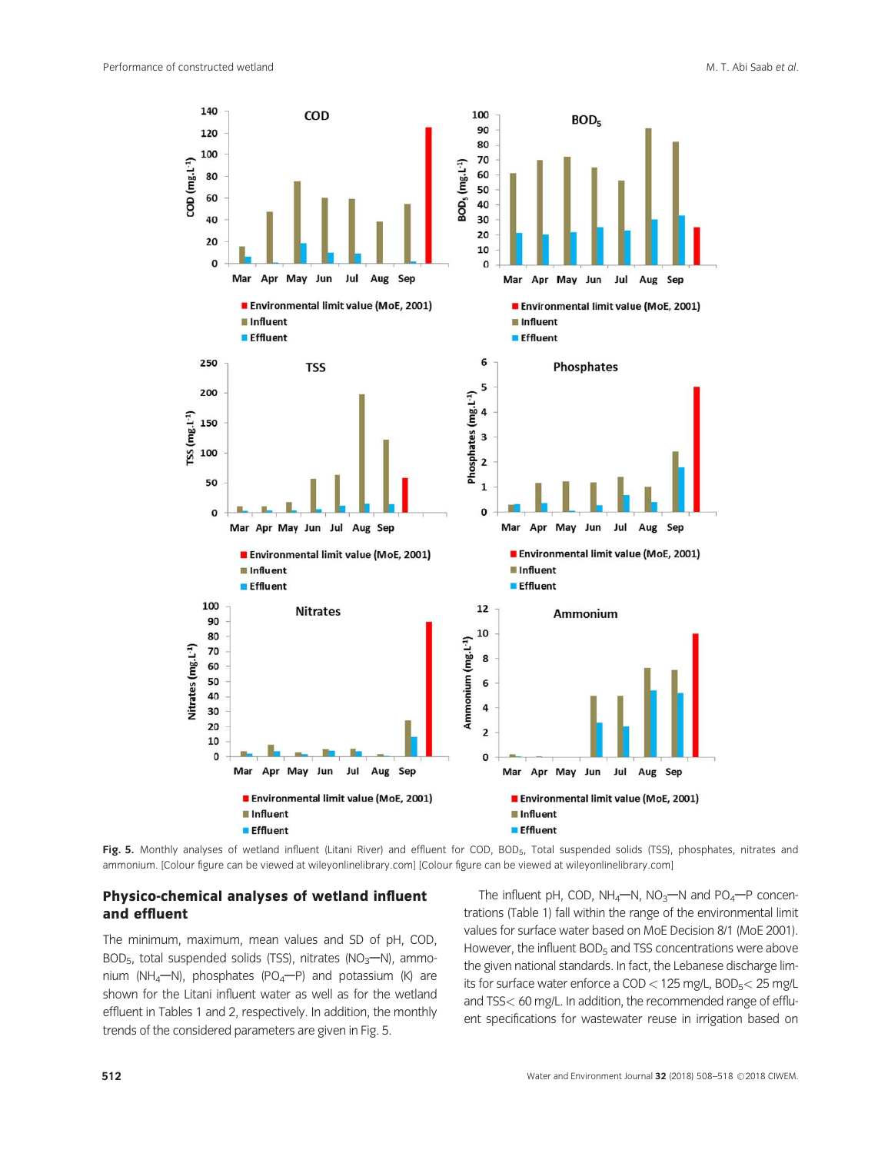

Fig. 5. Monthly analyses of wetland influent (Litani River) and effluent for COD, BOD<sub>5</sub>, Total suspended solids (TSS), phosphates, nitrates and ammonium. [Colour figure can be view[ed at wileyonlinelibrary.](http://wileyonlinelibrary.com)com] [Colour figure can be view[ed at wileyonlinelibrary](http://wileyonlinelibrary.com).com]

#### Physico-chemical analyses of wetland influent and effluent

The minimum, maximum, mean values and SD of pH, COD, BOD<sub>5</sub>, total suspended solids (TSS), nitrates (NO<sub>3</sub>-N), ammonium (NH<sub>4</sub> $-M$ ), phosphates (PO<sub>4</sub> $-P$ ) and potassium (K) are shown for the Litani influent water as well as for the wetland effluent in Tables 1 and 2, respectively. In addition, the monthly trends of the considered parameters are given in Fig. 5.

The influent pH, COD,  $NH_4-N$ ,  $NO_3-N$  and  $PO_4-P$  concentrations (Table 1) fall within the range of the environmental limit values for surface water based on MoE Decision 8/1 (MoE 2001). However, the influent BOD<sub>5</sub> and TSS concentrations were above the given national standards. In fact, the Lebanese discharge limits for surface water enforce a  $COD < 125$  mg/L,  $BOD<sub>5</sub> < 25$  mg/L and TSS< 60 mg/L. In addition, the recommended range of effluent specifications for wastewater reuse in irrigation based on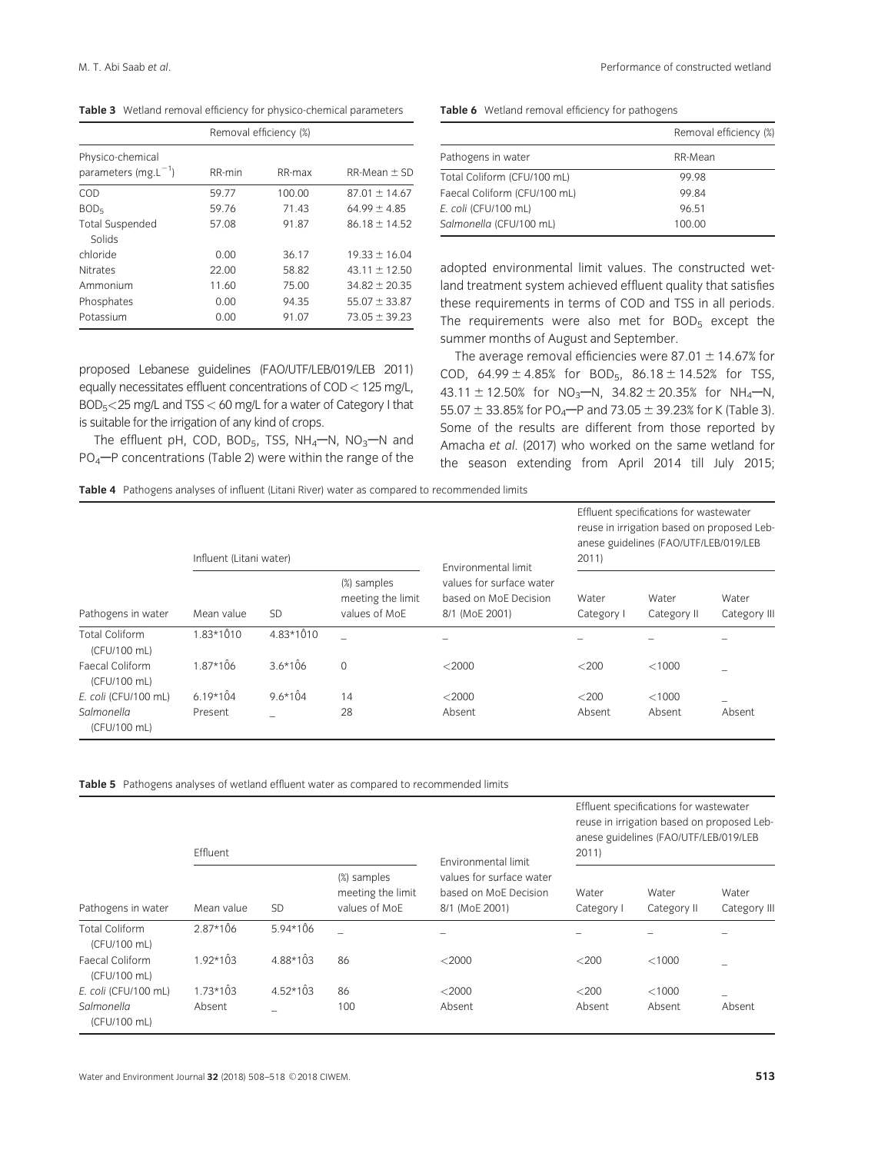Table 3 Wetland removal efficiency for physico-chemical parameters

|                                              |        | Removal efficiency (%) |                   |  |  |  |
|----------------------------------------------|--------|------------------------|-------------------|--|--|--|
| Physico-chemical<br>parameters $(mg.L^{-1})$ | RR-min | RR-max                 | $RR-Mean \pm SD$  |  |  |  |
| COD                                          | 59.77  | 100.00                 | $87.01 \pm 14.67$ |  |  |  |
| BOD <sub>5</sub>                             | 59.76  | 71.43                  | $64.99 \pm 4.85$  |  |  |  |
| <b>Total Suspended</b><br>Solids             | 57.08  | 91.87                  | $86.18 \pm 14.52$ |  |  |  |
| chloride                                     | 0.00   | 36.17                  | $19.33 \pm 16.04$ |  |  |  |
| <b>Nitrates</b>                              | 22.00  | 58.82                  | $4311 + 1250$     |  |  |  |
| Ammonium                                     | 11.60  | 75.00                  | $34.82 \pm 20.35$ |  |  |  |
| Phosphates                                   | 0.00   | 94.35                  | $55.07 \pm 33.87$ |  |  |  |
| Potassium                                    | 0.00   | 91.07                  | $73.05 \pm 39.23$ |  |  |  |

Table 6 Wetland removal efficiency for pathogens

|                              | Removal efficiency (%) |
|------------------------------|------------------------|
| Pathogens in water           | RR-Mean                |
| Total Coliform (CFU/100 mL)  | 99 98                  |
| Faecal Coliform (CFU/100 mL) | 9984                   |
| E. coli (CFU/100 mL)         | 96 51                  |
| Salmonella (CFU/100 mL)      | 100.00                 |

adopted environmental limit values. The constructed wetland treatment system achieved effluent quality that satisfies these requirements in terms of COD and TSS in all periods. The requirements were also met for  $BOD<sub>5</sub>$  except the summer months of August and September.

proposed Lebanese guidelines (FAO/UTF/LEB/019/LEB 2011) equally necessitates effluent concentrations of COD< 125 mg/L, BOD5<25 mg/L and TSS< 60 mg/L for a water of Category I that is suitable for the irrigation of any kind of crops.

The effluent pH, COD, BOD<sub>5</sub>, TSS,  $NH_4$ –N, NO<sub>3</sub>–N and  $PO<sub>4</sub>$ -P concentrations (Table 2) were within the range of the The average removal efficiencies were 87.01  $\pm$  14.67% for

COD,  $64.99 \pm 4.85\%$  for BOD<sub>5</sub>,  $86.18 \pm 14.52\%$  for TSS, 43.11  $\pm$  12.50% for NO<sub>3</sub>-N, 34.82  $\pm$  20.35% for NH<sub>4</sub>-N, 55.07  $\pm$  33.85% for PO<sub>4</sub> $-$ P and 73.05  $\pm$  39.23% for K (Table 3). Some of the results are different from those reported by Amacha et al. (2017) who worked on the same wetland for the season extending from April 2014 till July 2015;

Table 4 Pathogens analyses of influent (Litani River) water as compared to recommended limits

|                                       | Influent (Litani water) |             |                                                   | Environmental limit                                                 | Effluent specifications for wastewater<br>reuse in irrigation based on proposed Leb-<br>anese guidelines (FAO/UTF/LEB/019/LEB<br>2011 |                      |                       |
|---------------------------------------|-------------------------|-------------|---------------------------------------------------|---------------------------------------------------------------------|---------------------------------------------------------------------------------------------------------------------------------------|----------------------|-----------------------|
| Pathogens in water                    | Mean value              | <b>SD</b>   | (%) samples<br>meeting the limit<br>values of MoE | values for surface water<br>based on MoE Decision<br>8/1 (MoE 2001) | Water<br>Category I                                                                                                                   | Water<br>Category II | Water<br>Category III |
| <b>Total Coliform</b><br>(CFU/100 mL) | $1.83*1010$             | $4.83*1010$ |                                                   |                                                                     |                                                                                                                                       |                      |                       |
| Faecal Coliform<br>(CFU/100 mL)       | $1.87*106$              | $3.6*106$   | $\mathbf{0}$                                      | $<$ 2000                                                            | $<$ 200                                                                                                                               | < 1000               |                       |
| E. coli (CFU/100 mL)                  | $6.19*104$              | $9.6*104$   | 14                                                | $<$ 2000                                                            | $<$ 200                                                                                                                               | < 1000               | -                     |
| Salmonella<br>(CFU/100 mL)            | Present                 |             | 28                                                | Absent                                                              | Absent                                                                                                                                | Absent               | Absent                |

Table 5 Pathogens analyses of wetland effluent water as compared to recommended limits

|                                       | Effluent   |            |                                                   | Environmental limit                                                 | Effluent specifications for wastewater<br>reuse in irrigation based on proposed Leb-<br>anese guidelines (FAO/UTF/LEB/019/LEB<br>2011 |                      |                       |
|---------------------------------------|------------|------------|---------------------------------------------------|---------------------------------------------------------------------|---------------------------------------------------------------------------------------------------------------------------------------|----------------------|-----------------------|
| Pathogens in water                    | Mean value | SD         | (%) samples<br>meeting the limit<br>values of MoE | values for surface water<br>based on MoE Decision<br>8/1 (MoE 2001) | Water<br>Category I                                                                                                                   | Water<br>Category II | Water<br>Category III |
| <b>Total Coliform</b><br>(CFU/100 mL) | $2.87*106$ | $5.94*106$ |                                                   |                                                                     |                                                                                                                                       |                      |                       |
| Faecal Coliform<br>(CFU/100 mL)       | $1.92*103$ | $4.88*103$ | 86                                                | $<$ 2000                                                            | $<$ 200                                                                                                                               | < 1000               |                       |
| E. coli (CFU/100 mL)                  | $1.73*103$ | $4.52*103$ | 86                                                | $<$ 2000                                                            | $<$ 200                                                                                                                               | < 1000               |                       |
| Salmonella<br>(CFU/100 mL)            | Absent     |            | 100                                               | Absent                                                              | Absent                                                                                                                                | Absent               | Absent                |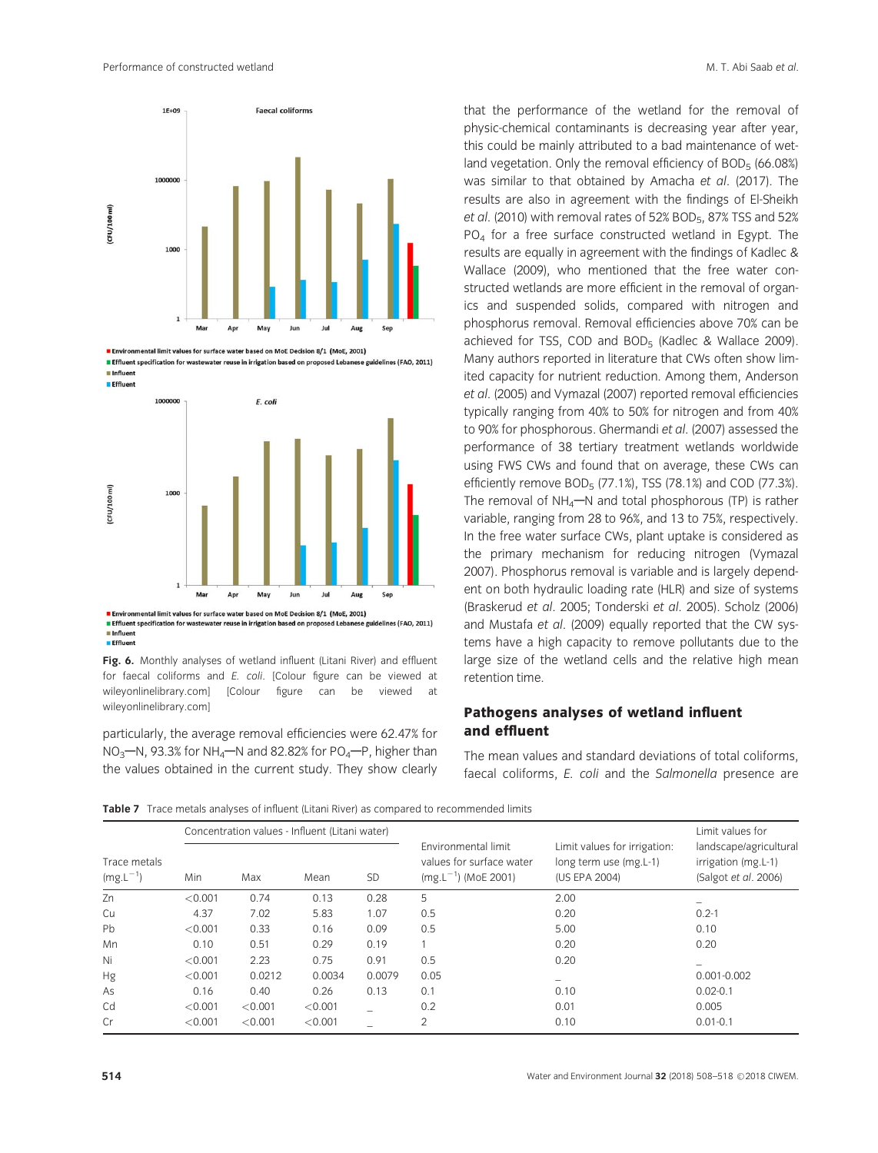

Environmental limit values for surface water based on MoE Decision 8/1 (MoE, 2001)

Effluent specification for wastewater reuse in irrigation based on proposed Lebanese guidelines (FAO, 2011) Influent **Effluen** 



Effluent specification for wastewater reuse in irrigation based on proposed Lebanese guidelines (FAO, 2011)  $\blacksquare$  Influen **Effluen** 

Fig. 6. Monthly analyses of wetland influent (Litani River) and effluent for faecal coliforms and E. coli. [Colour figure can be viewed at [wileyonlinelibrary](http://wileyonlinelibrary.com).com] [Colour figure can be viewed [wileyonlinelibrary](http://wileyonlinelibrary.com).com]

particularly, the average removal efficiencies were 62.47% for  $NO_3$ –N, 93.3% for NH<sub>4</sub>–N and 82.82% for PO<sub>4</sub>–P, higher than the values obtained in the current study. They show clearly that the performance of the wetland for the removal of physic-chemical contaminants is decreasing year after year, this could be mainly attributed to a bad maintenance of wetland vegetation. Only the removal efficiency of  $BOD<sub>5</sub>$  (66.08%) was similar to that obtained by Amacha et al. (2017). The results are also in agreement with the findings of El-Sheikh et al. (2010) with removal rates of 52% BOD<sub>5</sub>, 87% TSS and 52% PO4 for a free surface constructed wetland in Egypt. The results are equally in agreement with the findings of Kadlec & Wallace (2009), who mentioned that the free water constructed wetlands are more efficient in the removal of organics and suspended solids, compared with nitrogen and phosphorus removal. Removal efficiencies above 70% can be achieved for TSS, COD and BOD<sub>5</sub> (Kadlec & Wallace 2009). Many authors reported in literature that CWs often show limited capacity for nutrient reduction. Among them, Anderson et al. (2005) and Vymazal (2007) reported removal efficiencies typically ranging from 40% to 50% for nitrogen and from 40% to 90% for phosphorous. Ghermandi et al. (2007) assessed the performance of 38 tertiary treatment wetlands worldwide using FWS CWs and found that on average, these CWs can efficiently remove BOD $_5$  (77.1%), TSS (78.1%) and COD (77.3%). The removal of  $NH_4$ —N and total phosphorous (TP) is rather variable, ranging from 28 to 96%, and 13 to 75%, respectively. In the free water surface CWs, plant uptake is considered as the primary mechanism for reducing nitrogen (Vymazal 2007). Phosphorus removal is variable and is largely dependent on both hydraulic loading rate (HLR) and size of systems (Braskerud et al. 2005; Tonderski et al. 2005). Scholz (2006) and Mustafa et al. (2009) equally reported that the CW systems have a high capacity to remove pollutants due to the large size of the wetland cells and the relative high mean retention time.

## Pathogens analyses of wetland influent and effluent

The mean values and standard deviations of total coliforms, faecal coliforms, E. coli and the Salmonella presence are

Table 7 Trace metals analyses of influent (Litani River) as compared to recommended limits

|                               |         | Concentration values - Influent (Litani water) |         |           |                                                                             |                                                                         | Limit values for                                                      |  |
|-------------------------------|---------|------------------------------------------------|---------|-----------|-----------------------------------------------------------------------------|-------------------------------------------------------------------------|-----------------------------------------------------------------------|--|
| Trace metals<br>$(mg.L^{-1})$ | Min     | Max                                            | Mean    | <b>SD</b> | Environmental limit<br>values for surface water<br>$(mg.L^{-1})$ (MoE 2001) | Limit values for irrigation:<br>long term use (mg.L-1)<br>(US EPA 2004) | landscape/agricultural<br>irrigation (mg.L-1)<br>(Salgot et al. 2006) |  |
| Zn                            | < 0.001 | 0.74                                           | 0.13    | 0.28      | 5                                                                           | 2.00                                                                    |                                                                       |  |
| Cu                            | 4.37    | 7.02                                           | 5.83    | 1.07      | 0.5                                                                         | 0.20                                                                    | $0.2 - 1$                                                             |  |
| Pb                            | < 0.001 | 0.33                                           | 0.16    | 0.09      | 0.5                                                                         | 5.00                                                                    | 0.10                                                                  |  |
| Mn                            | 0.10    | 0.51                                           | 0.29    | 0.19      |                                                                             | 0.20                                                                    | 0.20                                                                  |  |
| Ni                            | < 0.001 | 2.23                                           | 0.75    | 0.91      | 0.5                                                                         | 0.20                                                                    |                                                                       |  |
| Hg                            | < 0.001 | 0.0212                                         | 0.0034  | 0.0079    | 0.05                                                                        |                                                                         | $0.001 - 0.002$                                                       |  |
| As                            | 0.16    | 0.40                                           | 0.26    | 0.13      | 0.1                                                                         | 0.10                                                                    | $0.02 - 0.1$                                                          |  |
| Cd                            | < 0.001 | < 0.001                                        | < 0.001 |           | 0.2                                                                         | 0.01                                                                    | 0.005                                                                 |  |
| Cr                            | < 0.001 | < 0.001                                        | < 0.001 |           | $\overline{2}$                                                              | 0.10                                                                    | $0.01 - 0.1$                                                          |  |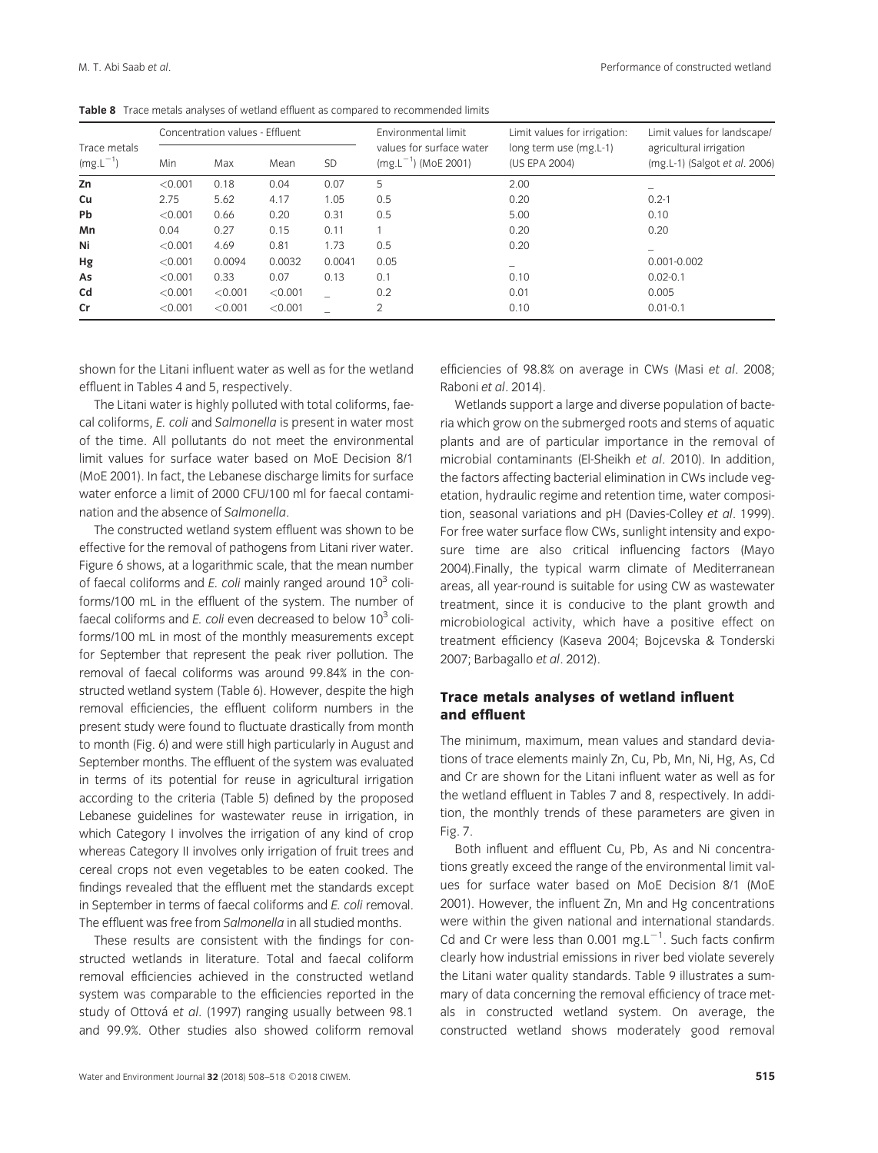|                                      |         | Concentration values - Effluent |         |           | Environmental limit                                  | Limit values for irrigation:            | Limit values for landscape/<br>agricultural irrigation<br>(mg.L-1) (Salgot et al. 2006) |  |
|--------------------------------------|---------|---------------------------------|---------|-----------|------------------------------------------------------|-----------------------------------------|-----------------------------------------------------------------------------------------|--|
| Trace metals<br>$(mg.L^{-1})$<br>Min |         | Max                             | Mean    | <b>SD</b> | values for surface water<br>$(mg.L^{-1})$ (MoE 2001) | long term use (mg.L-1)<br>(US EPA 2004) |                                                                                         |  |
| Zn                                   | < 0.001 | 0.18                            | 0.04    | 0.07      | 5                                                    | 2.00                                    | -                                                                                       |  |
| Cu                                   | 2.75    | 5.62                            | 4.17    | 1.05      | 0.5                                                  | 0.20                                    | $0.2 - 1$                                                                               |  |
| <b>Pb</b>                            | < 0.001 | 0.66                            | 0.20    | 0.31      | 0.5                                                  | 5.00                                    | 0.10                                                                                    |  |
| Mn                                   | 0.04    | 0.27                            | 0.15    | 0.11      |                                                      | 0.20                                    | 0.20                                                                                    |  |
| Ni                                   | < 0.001 | 4.69                            | 0.81    | 1.73      | 0.5                                                  | 0.20                                    | -                                                                                       |  |
| Hg                                   | < 0.001 | 0.0094                          | 0.0032  | 0.0041    | 0.05                                                 |                                         | $0.001 - 0.002$                                                                         |  |
| As                                   | < 0.001 | 0.33                            | 0.07    | 0.13      | 0.1                                                  | 0.10                                    | $0.02 - 0.1$                                                                            |  |
| Cd                                   | < 0.001 | < 0.001                         | < 0.001 |           | 0.2                                                  | 0.01                                    | 0.005                                                                                   |  |
| Cr                                   | < 0.001 | < 0.001                         | < 0.001 |           | $\overline{2}$                                       | 0.10                                    | $0.01 - 0.1$                                                                            |  |

shown for the Litani influent water as well as for the wetland effluent in Tables 4 and 5, respectively.

The Litani water is highly polluted with total coliforms, faecal coliforms, E. coli and Salmonella is present in water most of the time. All pollutants do not meet the environmental limit values for surface water based on MoE Decision 8/1 (MoE 2001). In fact, the Lebanese discharge limits for surface water enforce a limit of 2000 CFU/100 ml for faecal contamination and the absence of Salmonella.

The constructed wetland system effluent was shown to be effective for the removal of pathogens from Litani river water. Figure 6 shows, at a logarithmic scale, that the mean number of faecal coliforms and E. coli mainly ranged around  $10^3$  coliforms/100 mL in the effluent of the system. The number of faecal coliforms and  $E$ . coli even decreased to below 10 $3$  coliforms/100 mL in most of the monthly measurements except for September that represent the peak river pollution. The removal of faecal coliforms was around 99.84% in the constructed wetland system (Table 6). However, despite the high removal efficiencies, the effluent coliform numbers in the present study were found to fluctuate drastically from month to month (Fig. 6) and were still high particularly in August and September months. The effluent of the system was evaluated in terms of its potential for reuse in agricultural irrigation according to the criteria (Table 5) defined by the proposed Lebanese guidelines for wastewater reuse in irrigation, in which Category I involves the irrigation of any kind of crop whereas Category II involves only irrigation of fruit trees and cereal crops not even vegetables to be eaten cooked. The findings revealed that the effluent met the standards except in September in terms of faecal coliforms and E. coli removal. The effluent was free from Salmonella in all studied months.

These results are consistent with the findings for constructed wetlands in literature. Total and faecal coliform removal efficiencies achieved in the constructed wetland system was comparable to the efficiencies reported in the study of Ottová et al. (1997) ranging usually between 98.1 and 99.9%. Other studies also showed coliform removal

efficiencies of 98.8% on average in CWs (Masi et al. 2008; Raboni et al. 2014).

Wetlands support a large and diverse population of bacteria which grow on the submerged roots and stems of aquatic plants and are of particular importance in the removal of microbial contaminants (El-Sheikh et al. 2010). In addition, the factors affecting bacterial elimination in CWs include vegetation, hydraulic regime and retention time, water composition, seasonal variations and pH (Davies-Colley et al. 1999). For free water surface flow CWs, sunlight intensity and exposure time are also critical influencing factors (Mayo 2004).Finally, the typical warm climate of Mediterranean areas, all year-round is suitable for using CW as wastewater treatment, since it is conducive to the plant growth and microbiological activity, which have a positive effect on treatment efficiency (Kaseva 2004; Bojcevska & Tonderski 2007; Barbagallo et al. 2012).

## Trace metals analyses of wetland influent and effluent

The minimum, maximum, mean values and standard deviations of trace elements mainly Zn, Cu, Pb, Mn, Ni, Hg, As, Cd and Cr are shown for the Litani influent water as well as for the wetland effluent in Tables 7 and 8, respectively. In addition, the monthly trends of these parameters are given in Fig. 7.

Both influent and effluent Cu, Pb, As and Ni concentrations greatly exceed the range of the environmental limit values for surface water based on MoE Decision 8/1 (MoE 2001). However, the influent Zn, Mn and Hg concentrations were within the given national and international standards. Cd and Cr were less than 0.001 mg. $L^{-1}$ . Such facts confirm clearly how industrial emissions in river bed violate severely the Litani water quality standards. Table 9 illustrates a summary of data concerning the removal efficiency of trace metals in constructed wetland system. On average, the constructed wetland shows moderately good removal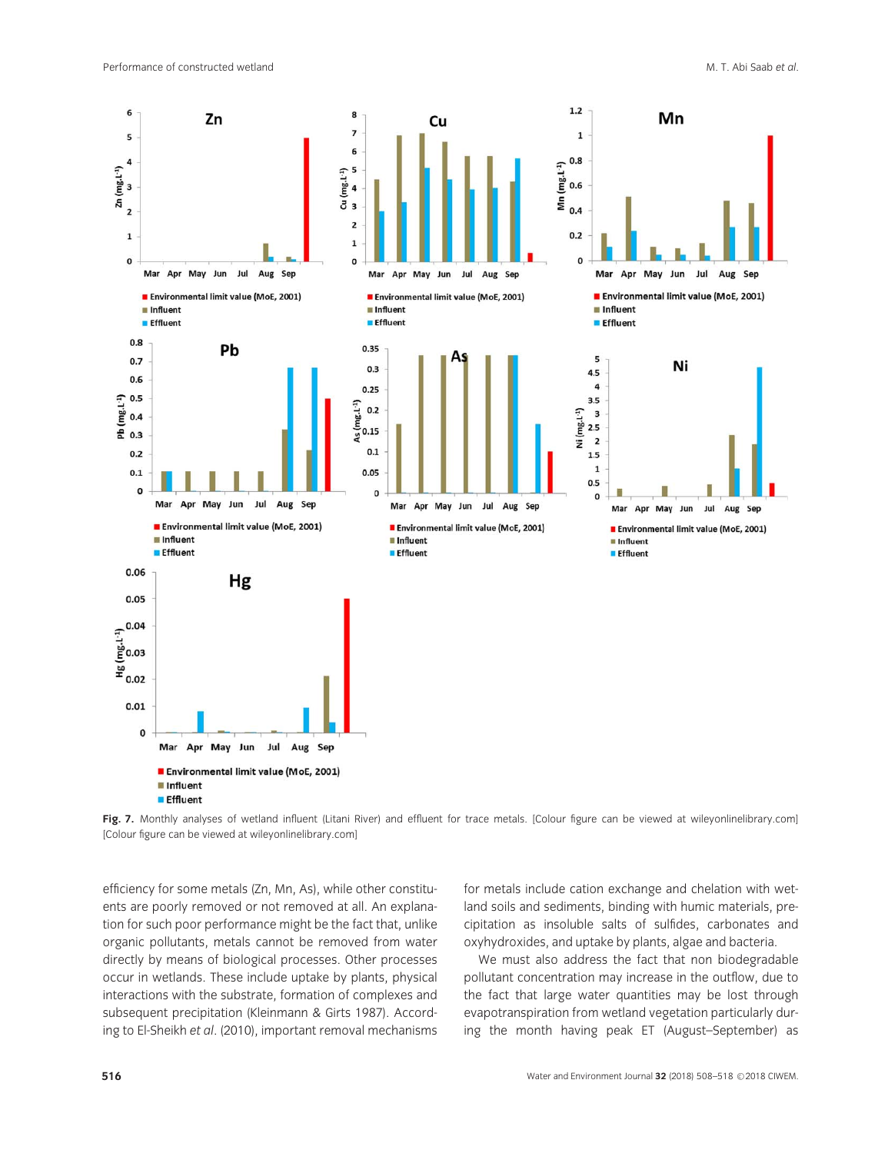

Fig. 7. Monthly analyses of wetland influent (Litani River) and effluent for trace metals. [Colour figure can be viewe[d at wileyonlinelibrary.](http://wileyonlinelibrary.com)com] [Colour figure can be view[ed at wileyonlinelibrary.](http://wileyonlinelibrary.com)com]

efficiency for some metals (Zn, Mn, As), while other constituents are poorly removed or not removed at all. An explanation for such poor performance might be the fact that, unlike organic pollutants, metals cannot be removed from water directly by means of biological processes. Other processes occur in wetlands. These include uptake by plants, physical interactions with the substrate, formation of complexes and subsequent precipitation (Kleinmann & Girts 1987). According to El-Sheikh et al. (2010), important removal mechanisms for metals include cation exchange and chelation with wetland soils and sediments, binding with humic materials, precipitation as insoluble salts of sulfides, carbonates and oxyhydroxides, and uptake by plants, algae and bacteria.

We must also address the fact that non biodegradable pollutant concentration may increase in the outflow, due to the fact that large water quantities may be lost through evapotranspiration from wetland vegetation particularly during the month having peak ET (August–September) as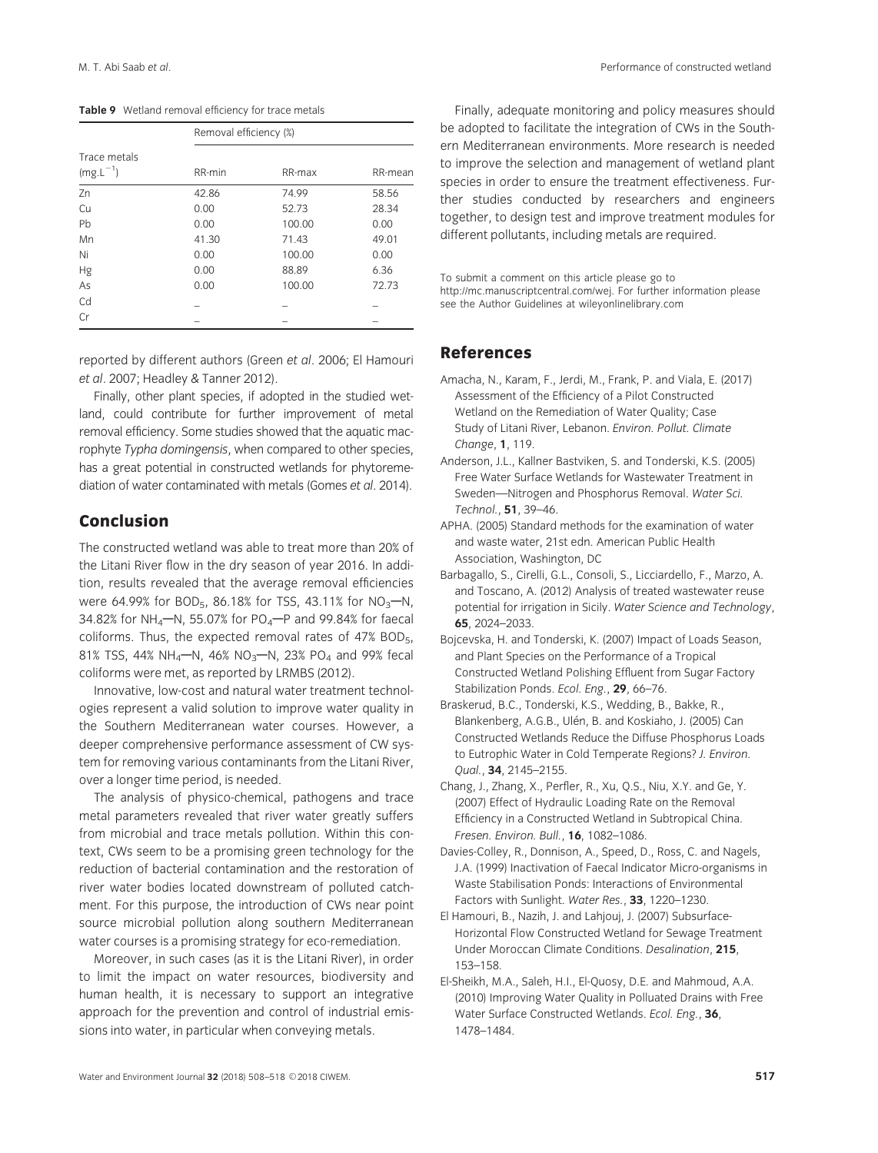|                               | Removal efficiency (%) |        |         |  |  |  |  |
|-------------------------------|------------------------|--------|---------|--|--|--|--|
| Trace metals<br>$(mg.L^{-1})$ | RR-min                 | RR-max | RR-mean |  |  |  |  |
| Zn                            | 42.86                  | 74.99  | 58.56   |  |  |  |  |
| Cu                            | 0.00                   | 52.73  | 28.34   |  |  |  |  |
| Pb                            | 0.00                   | 100.00 | 0.00    |  |  |  |  |
| Mn                            | 41.30                  | 71.43  | 49.01   |  |  |  |  |
| Ni                            | 0.00                   | 100.00 | 0.00    |  |  |  |  |
| Hg                            | 0.00                   | 88.89  | 6.36    |  |  |  |  |
| As                            | 0.00                   | 100.00 | 72.73   |  |  |  |  |
| Cd                            |                        |        |         |  |  |  |  |
| Cr                            |                        |        |         |  |  |  |  |

reported by different authors (Green et al. 2006; El Hamouri et al. 2007; Headley & Tanner 2012).

Finally, other plant species, if adopted in the studied wetland, could contribute for further improvement of metal removal efficiency. Some studies showed that the aquatic macrophyte Typha domingensis, when compared to other species, has a great potential in constructed wetlands for phytoremediation of water contaminated with metals (Gomes et al. 2014).

# Conclusion

The constructed wetland was able to treat more than 20% of the Litani River flow in the dry season of year 2016. In addition, results revealed that the average removal efficiencies were 64.99% for BOD<sub>5</sub>, 86.18% for TSS, 43.11% for NO<sub>3</sub>-N, 34.82% for NH<sub>4</sub> $-M$ , 55.07% for PO<sub>4</sub> $-P$  and 99.84% for faecal coliforms. Thus, the expected removal rates of 47% BOD5, 81% TSS, 44% NH<sub>4</sub>-N, 46% NO<sub>3</sub>-N, 23% PO<sub>4</sub> and 99% fecal coliforms were met, as reported by LRMBS (2012).

Innovative, low-cost and natural water treatment technologies represent a valid solution to improve water quality in the Southern Mediterranean water courses. However, a deeper comprehensive performance assessment of CW system for removing various contaminants from the Litani River, over a longer time period, is needed.

The analysis of physico-chemical, pathogens and trace metal parameters revealed that river water greatly suffers from microbial and trace metals pollution. Within this context, CWs seem to be a promising green technology for the reduction of bacterial contamination and the restoration of river water bodies located downstream of polluted catchment. For this purpose, the introduction of CWs near point source microbial pollution along southern Mediterranean water courses is a promising strategy for eco-remediation.

Moreover, in such cases (as it is the Litani River), in order to limit the impact on water resources, biodiversity and human health, it is necessary to support an integrative approach for the prevention and control of industrial emissions into water, in particular when conveying metals.

Finally, adequate monitoring and policy measures should be adopted to facilitate the integration of CWs in the Southern Mediterranean environments. More research is needed to improve the selection and management of wetland plant species in order to ensure the treatment effectiveness. Further studies conducted by researchers and engineers together, to design test and improve treatment modules for different pollutants, including metals are required.

To submit a comment on this article please go to http:[//mc.manuscriptcentral.com/wej. For](http://mc.manuscriptcentral.com/wej) further information please see the Author Guidelines at wile[yonlinelibrary.com](http://wileyonlinelibrary.com)

#### References

- Amacha, N., Karam, F., Jerdi, M., Frank, P. and Viala, E. (2017) Assessment of the Efficiency of a Pilot Constructed Wetland on the Remediation of Water Quality; Case Study of Litani River, Lebanon. Environ. Pollut. Climate Change, 1, 119.
- Anderson, J.L., Kallner Bastviken, S. and Tonderski, K.S. (2005) Free Water Surface Wetlands for Wastewater Treatment in Sweden—Nitrogen and Phosphorus Removal. Water Sci. Technol., 51, 39–46.
- APHA. (2005) Standard methods for the examination of water and waste water, 21st edn. American Public Health Association, Washington, DC
- Barbagallo, S., Cirelli, G.L., Consoli, S., Licciardello, F., Marzo, A. and Toscano, A. (2012) Analysis of treated wastewater reuse potential for irrigation in Sicily. Water Science and Technology, 65, 2024–2033.
- Bojcevska, H. and Tonderski, K. (2007) Impact of Loads Season, and Plant Species on the Performance of a Tropical Constructed Wetland Polishing Effluent from Sugar Factory Stabilization Ponds. Ecol. Eng., 29, 66-76.
- Braskerud, B.C., Tonderski, K.S., Wedding, B., Bakke, R., Blankenberg, A.G.B., Ulén, B. and Koskiaho, J. (2005) Can Constructed Wetlands Reduce the Diffuse Phosphorus Loads to Eutrophic Water in Cold Temperate Regions? J. Environ. Qual., 34, 2145–2155.
- Chang, J., Zhang, X., Perfler, R., Xu, Q.S., Niu, X.Y. and Ge, Y. (2007) Effect of Hydraulic Loading Rate on the Removal Efficiency in a Constructed Wetland in Subtropical China. Fresen. Environ. Bull., 16, 1082–1086.
- Davies-Colley, R., Donnison, A., Speed, D., Ross, C. and Nagels, J.A. (1999) Inactivation of Faecal Indicator Micro-organisms in Waste Stabilisation Ponds: Interactions of Environmental Factors with Sunlight. Water Res., 33, 1220-1230.
- El Hamouri, B., Nazih, J. and Lahjouj, J. (2007) Subsurface-Horizontal Flow Constructed Wetland for Sewage Treatment Under Moroccan Climate Conditions. Desalination, 215, 153–158.
- El-Sheikh, M.A., Saleh, H.I., El-Quosy, D.E. and Mahmoud, A.A. (2010) Improving Water Quality in Polluated Drains with Free Water Surface Constructed Wetlands. Ecol. Eng., 36, 1478–1484.